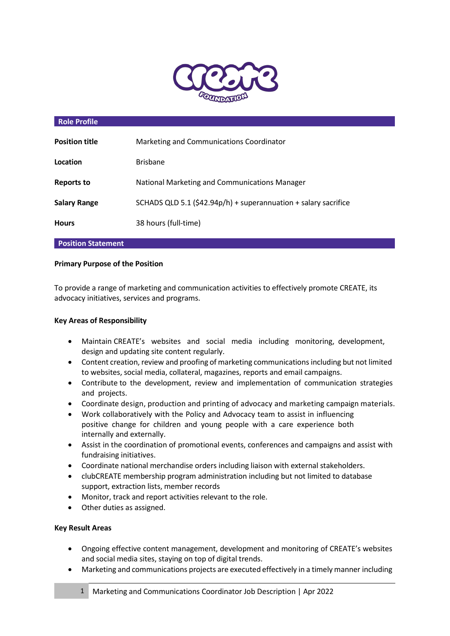

## **Role Profile**

| <b>Position title</b> | Marketing and Communications Coordinator                        |
|-----------------------|-----------------------------------------------------------------|
| Location              | <b>Brisbane</b>                                                 |
| Reports to            | National Marketing and Communications Manager                   |
| <b>Salary Range</b>   | SCHADS QLD 5.1 (\$42.94p/h) + superannuation + salary sacrifice |
| <b>Hours</b>          | 38 hours (full-time)                                            |

### **Position Statement**

#### **Primary Purpose of the Position**

To provide a range of marketing and communication activities to effectively promote CREATE, its advocacy initiatives, services and programs.

### **Key Areas of Responsibility**

- Maintain CREATE's websites and social media including monitoring, development, design and updating site content regularly.
- Content creation, review and proofing of marketing communications including but not limited to websites, social media, collateral, magazines, reports and email campaigns.
- Contribute to the development, review and implementation of communication strategies and projects.
- Coordinate design, production and printing of advocacy and marketing campaign materials.
- Work collaboratively with the Policy and Advocacy team to assist in influencing positive change for children and young people with a care experience both internally and externally.
- Assist in the coordination of promotional events, conferences and campaigns and assist with fundraising initiatives.
- Coordinate national merchandise orders including liaison with external stakeholders.
- clubCREATE membership program administration including but not limited to database support, extraction lists, member records
- Monitor, track and report activities relevant to the role.
- Other duties as assigned.

### **Key Result Areas**

- Ongoing effective content management, development and monitoring of CREATE's websites and social media sites, staying on top of digital trends.
- Marketing and communications projects are executed effectively in a timely manner including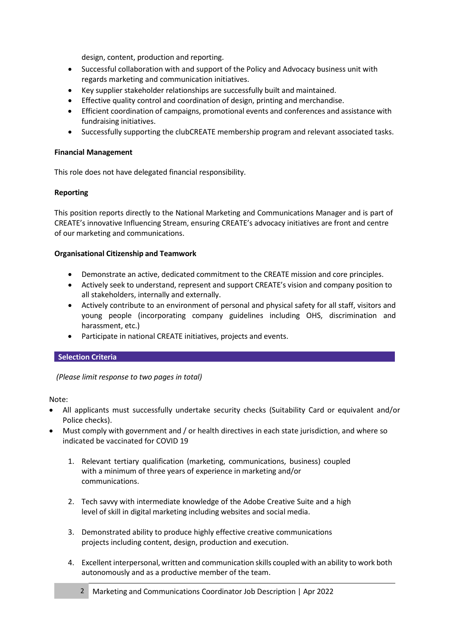design, content, production and reporting.

- Successful collaboration with and support of the Policy and Advocacy business unit with regards marketing and communication initiatives.
- Key supplier stakeholder relationships are successfully built and maintained.
- Effective quality control and coordination of design, printing and merchandise.
- Efficient coordination of campaigns, promotional events and conferences and assistance with fundraising initiatives.
- Successfully supporting the clubCREATE membership program and relevant associated tasks.

### **Financial Management**

This role does not have delegated financial responsibility.

### **Reporting**

This position reports directly to the National Marketing and Communications Manager and is part of CREATE's innovative Influencing Stream, ensuring CREATE's advocacy initiatives are front and centre of our marketing and communications.

### **Organisational Citizenship and Teamwork**

- Demonstrate an active, dedicated commitment to the CREATE mission and core principles.
- Actively seek to understand, represent and support CREATE's vision and company position to all stakeholders, internally and externally.
- Actively contribute to an environment of personal and physical safety for all staff, visitors and young people (incorporating company guidelines including OHS, discrimination and harassment, etc.)
- Participate in national CREATE initiatives, projects and events.

# **Selection Criteria**

*(Please limit response to two pages in total)*

Note:

- All applicants must successfully undertake security checks (Suitability Card or equivalent and/or Police checks).
- Must comply with government and / or health directives in each state jurisdiction, and where so indicated be vaccinated for COVID 19
	- 1. Relevant tertiary qualification (marketing, communications, business) coupled with a minimum of three years of experience in marketing and/or communications.
	- 2. Tech savvy with intermediate knowledge of the Adobe Creative Suite and a high level of skill in digital marketing including websites and social media.
	- 3. Demonstrated ability to produce highly effective creative communications projects including content, design, production and execution.
	- 4. Excellent interpersonal, written and communication skills coupled with an ability to work both autonomously and as a productive member of the team.